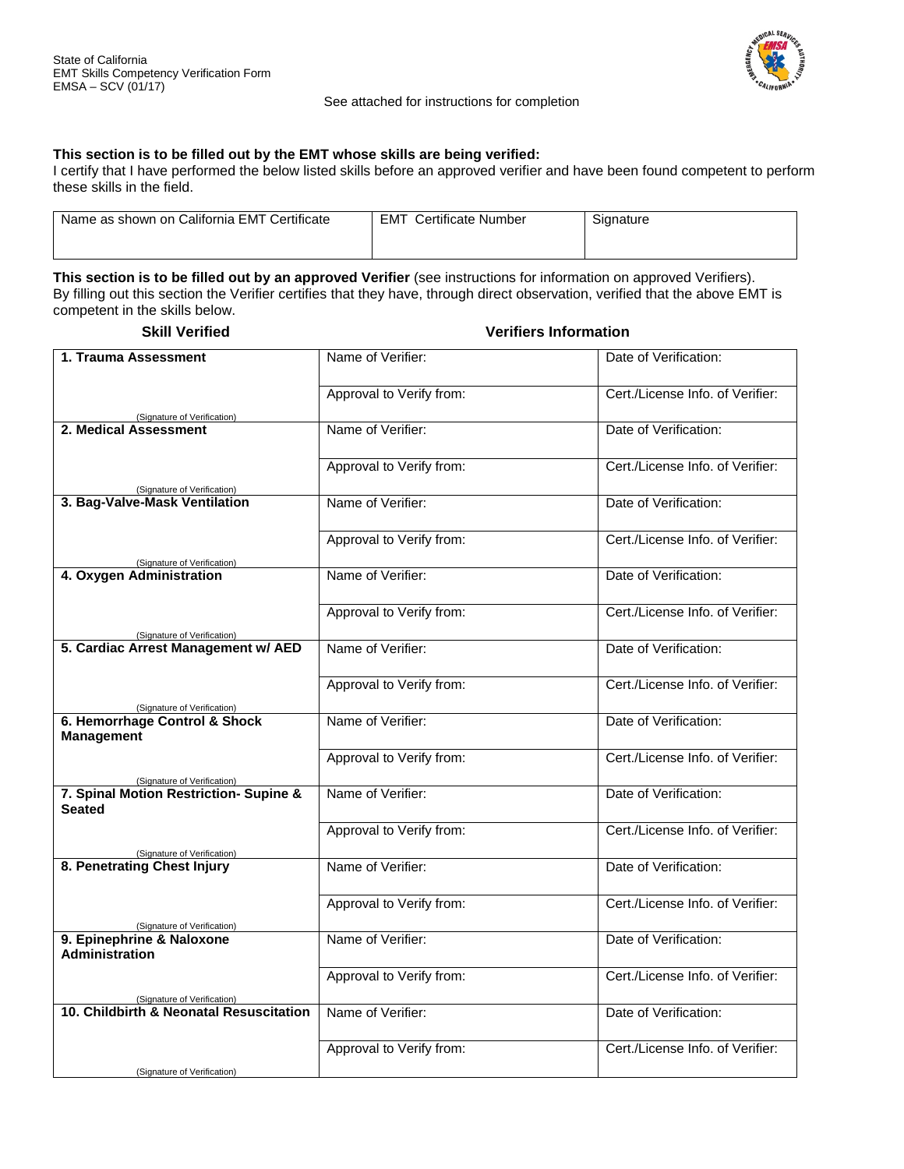

## See attached for instructions for completion

## **This section is to be filled out by the EMT whose skills are being verified:**

I certify that I have performed the below listed skills before an approved verifier and have been found competent to perform these skills in the field.

| Name as shown on California EMT Certificate | Certificate Number<br><b>EMT</b> | Signature |
|---------------------------------------------|----------------------------------|-----------|
|                                             |                                  |           |

**This section is to be filled out by an approved Verifier** (see instructions for information on approved Verifiers). By filling out this section the Verifier certifies that they have, through direct observation, verified that the above EMT is competent in the skills below.

**Skill Verified Verifiers Information**

| 1. Trauma Assessment                                                   | Name of Verifier:        | Date of Verification:            |
|------------------------------------------------------------------------|--------------------------|----------------------------------|
|                                                                        | Approval to Verify from: | Cert./License Info. of Verifier: |
| (Signature of Verification)                                            |                          |                                  |
| 2. Medical Assessment                                                  | Name of Verifier:        | Date of Verification:            |
|                                                                        | Approval to Verify from: | Cert./License Info. of Verifier: |
| (Signature of Verification)<br>3. Bag-Valve-Mask Ventilation           | Name of Verifier:        | Date of Verification:            |
|                                                                        |                          |                                  |
| (Signature of Verification)                                            | Approval to Verify from: | Cert./License Info. of Verifier: |
| 4. Oxygen Administration                                               | Name of Verifier:        | Date of Verification:            |
|                                                                        | Approval to Verify from: | Cert./License Info. of Verifier: |
| (Signature of Verification)<br>5. Cardiac Arrest Management w/ AED     | Name of Verifier:        | Date of Verification:            |
|                                                                        | Approval to Verify from: | Cert./License Info. of Verifier: |
| (Signature of Verification)<br>6. Hemorrhage Control & Shock           | Name of Verifier:        | Date of Verification:            |
| <b>Management</b>                                                      |                          |                                  |
| (Signature of Verification)                                            | Approval to Verify from: | Cert./License Info. of Verifier: |
| 7. Spinal Motion Restriction- Supine &<br><b>Seated</b>                | Name of Verifier:        | Date of Verification:            |
| (Signature of Verification)                                            | Approval to Verify from: | Cert./License Info. of Verifier: |
| 8. Penetrating Chest Injury                                            | Name of Verifier:        | Date of Verification:            |
|                                                                        | Approval to Verify from: | Cert./License Info. of Verifier: |
| (Signature of Verification)<br>9. Epinephrine & Naloxone               |                          |                                  |
| Administration                                                         | Name of Verifier:        | Date of Verification:            |
|                                                                        | Approval to Verify from: | Cert./License Info. of Verifier: |
| (Signature of Verification)<br>10. Childbirth & Neonatal Resuscitation | Name of Verifier:        | Date of Verification:            |
|                                                                        | Approval to Verify from: | Cert./License Info. of Verifier: |
| (Signature of Verification)                                            |                          |                                  |